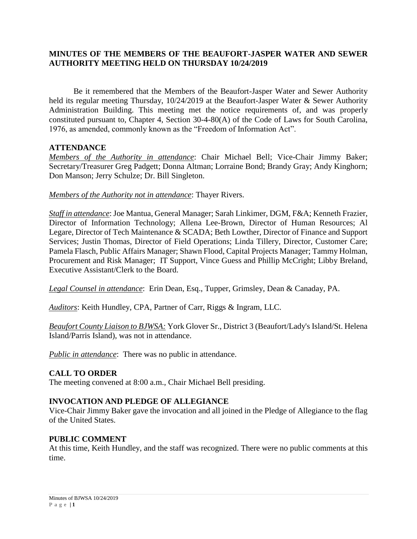## **MINUTES OF THE MEMBERS OF THE BEAUFORT-JASPER WATER AND SEWER AUTHORITY MEETING HELD ON THURSDAY 10/24/2019**

Be it remembered that the Members of the Beaufort-Jasper Water and Sewer Authority held its regular meeting Thursday, 10/24/2019 at the Beaufort-Jasper Water & Sewer Authority Administration Building. This meeting met the notice requirements of, and was properly constituted pursuant to, Chapter 4, Section 30-4-80(A) of the Code of Laws for South Carolina, 1976, as amended, commonly known as the "Freedom of Information Act".

### **ATTENDANCE**

*Members of the Authority in attendance*: Chair Michael Bell; Vice-Chair Jimmy Baker; Secretary/Treasurer Greg Padgett; Donna Altman; Lorraine Bond; Brandy Gray; Andy Kinghorn; Don Manson; Jerry Schulze; Dr. Bill Singleton.

### *Members of the Authority not in attendance*: Thayer Rivers.

*Staff in attendance*: Joe Mantua, General Manager; Sarah Linkimer, DGM, F&A; Kenneth Frazier, Director of Information Technology; Allena Lee-Brown, Director of Human Resources; Al Legare, Director of Tech Maintenance & SCADA; Beth Lowther, Director of Finance and Support Services; Justin Thomas, Director of Field Operations; Linda Tillery, Director, Customer Care; Pamela Flasch, Public Affairs Manager; Shawn Flood, Capital Projects Manager; Tammy Holman, Procurement and Risk Manager; IT Support, Vince Guess and Phillip McCright; Libby Breland, Executive Assistant/Clerk to the Board.

*Legal Counsel in attendance*: Erin Dean, Esq., Tupper, Grimsley, Dean & Canaday, PA.

*Auditors*: Keith Hundley, CPA, Partner of Carr, Riggs & Ingram, LLC.

*Beaufort County Liaison to BJWSA:* York Glover Sr., District 3 (Beaufort/Lady's Island/St. Helena Island/Parris Island), was not in attendance.

*Public in attendance*: There was no public in attendance.

### **CALL TO ORDER**

The meeting convened at 8:00 a.m., Chair Michael Bell presiding.

### **INVOCATION AND PLEDGE OF ALLEGIANCE**

Vice-Chair Jimmy Baker gave the invocation and all joined in the Pledge of Allegiance to the flag of the United States.

### **PUBLIC COMMENT**

At this time, Keith Hundley, and the staff was recognized. There were no public comments at this time.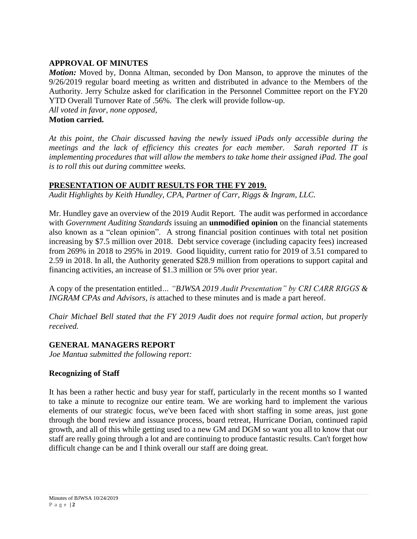## **APPROVAL OF MINUTES**

*Motion:* Moved by, Donna Altman, seconded by Don Manson, to approve the minutes of the 9/26/2019 regular board meeting as written and distributed in advance to the Members of the Authority. Jerry Schulze asked for clarification in the Personnel Committee report on the FY20 YTD Overall Turnover Rate of .56%. The clerk will provide follow-up. *All voted in favor, none opposed,* 

### **Motion carried.**

*At this point, the Chair discussed having the newly issued iPads only accessible during the meetings and the lack of efficiency this creates for each member. Sarah reported IT is implementing procedures that will allow the members to take home their assigned iPad. The goal is to roll this out during committee weeks.*

## **PRESENTATION OF AUDIT RESULTS FOR THE FY 2019.**

*Audit Highlights by Keith Hundley, CPA, Partner of Carr, Riggs & Ingram, LLC.*

Mr. Hundley gave an overview of the 2019 Audit Report. The audit was performed in accordance with *Government Auditing Standards* issuing an **unmodified opinion** on the financial statements also known as a "clean opinion". A strong financial position continues with total net position increasing by \$7.5 million over 2018. Debt service coverage (including capacity fees) increased from 269% in 2018 to 295% in 2019. Good liquidity, current ratio for 2019 of 3.51 compared to 2.59 in 2018. In all, the Authority generated \$28.9 million from operations to support capital and financing activities, an increase of \$1.3 million or 5% over prior year.

A copy of the presentation entitled*… "BJWSA 2019 Audit Presentation" by CRI CARR RIGGS & INGRAM CPAs and Advisors, is* attached to these minutes and is made a part hereof.

*Chair Michael Bell stated that the FY 2019 Audit does not require formal action, but properly received.* 

## **GENERAL MANAGERS REPORT**

*Joe Mantua submitted the following report:*

## **Recognizing of Staff**

It has been a rather hectic and busy year for staff, particularly in the recent months so I wanted to take a minute to recognize our entire team. We are working hard to implement the various elements of our strategic focus, we've been faced with short staffing in some areas, just gone through the bond review and issuance process, board retreat, Hurricane Dorian, continued rapid growth, and all of this while getting used to a new GM and DGM so want you all to know that our staff are really going through a lot and are continuing to produce fantastic results. Can't forget how difficult change can be and I think overall our staff are doing great.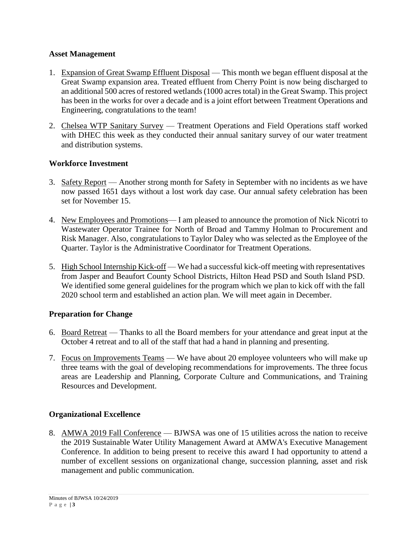# **Asset Management**

- 1. Expansion of Great Swamp Effluent Disposal This month we began effluent disposal at the Great Swamp expansion area. Treated effluent from Cherry Point is now being discharged to an additional 500 acres of restored wetlands (1000 acres total) in the Great Swamp. This project has been in the works for over a decade and is a joint effort between Treatment Operations and Engineering, congratulations to the team!
- 2. Chelsea WTP Sanitary Survey Treatment Operations and Field Operations staff worked with DHEC this week as they conducted their annual sanitary survey of our water treatment and distribution systems.

# **Workforce Investment**

- 3. Safety Report Another strong month for Safety in September with no incidents as we have now passed 1651 days without a lost work day case. Our annual safety celebration has been set for November 15.
- 4. New Employees and Promotions— I am pleased to announce the promotion of Nick Nicotri to Wastewater Operator Trainee for North of Broad and Tammy Holman to Procurement and Risk Manager. Also, congratulations to Taylor Daley who was selected as the Employee of the Quarter. Taylor is the Administrative Coordinator for Treatment Operations.
- 5. High School Internship Kick-off We had a successful kick-off meeting with representatives from Jasper and Beaufort County School Districts, Hilton Head PSD and South Island PSD. We identified some general guidelines for the program which we plan to kick off with the fall 2020 school term and established an action plan. We will meet again in December.

# **Preparation for Change**

- 6. Board Retreat Thanks to all the Board members for your attendance and great input at the October 4 retreat and to all of the staff that had a hand in planning and presenting.
- 7. Focus on Improvements Teams We have about 20 employee volunteers who will make up three teams with the goal of developing recommendations for improvements. The three focus areas are Leadership and Planning, Corporate Culture and Communications, and Training Resources and Development.

# **Organizational Excellence**

8. AMWA 2019 Fall Conference — BJWSA was one of 15 utilities across the nation to receive the 2019 Sustainable Water Utility Management Award at AMWA's Executive Management Conference. In addition to being present to receive this award I had opportunity to attend a number of excellent sessions on organizational change, succession planning, asset and risk management and public communication.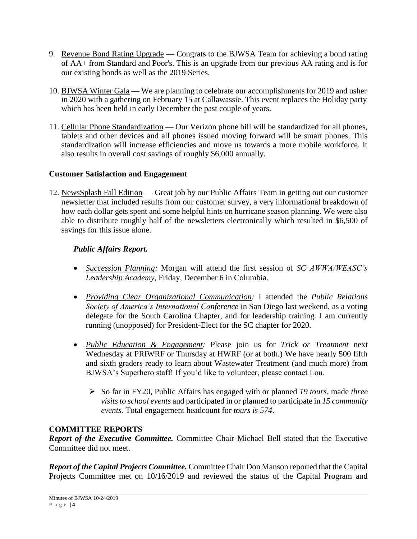- 9. Revenue Bond Rating Upgrade Congrats to the BJWSA Team for achieving a bond rating of AA+ from Standard and Poor's. This is an upgrade from our previous AA rating and is for our existing bonds as well as the 2019 Series.
- 10. BJWSA Winter Gala We are planning to celebrate our accomplishments for 2019 and usher in 2020 with a gathering on February 15 at Callawassie. This event replaces the Holiday party which has been held in early December the past couple of years.
- 11. Cellular Phone Standardization Our Verizon phone bill will be standardized for all phones, tablets and other devices and all phones issued moving forward will be smart phones. This standardization will increase efficiencies and move us towards a more mobile workforce. It also results in overall cost savings of roughly \$6,000 annually.

# **Customer Satisfaction and Engagement**

12. NewsSplash Fall Edition — Great job by our Public Affairs Team in getting out our customer newsletter that included results from our customer survey, a very informational breakdown of how each dollar gets spent and some helpful hints on hurricane season planning. We were also able to distribute roughly half of the newsletters electronically which resulted in \$6,500 of savings for this issue alone.

# *Public Affairs Report.*

- *Succession Planning:* Morgan will attend the first session of *SC AWWA/WEASC's Leadership Academy*, Friday, December 6 in Columbia.
- *Providing Clear Organizational Communication:* I attended the *Public Relations Society of America's International Conference* in San Diego last weekend, as a voting delegate for the South Carolina Chapter, and for leadership training. I am currently running (unopposed) for President-Elect for the SC chapter for 2020.
- *Public Education & Engagement:* Please join us for *Trick or Treatment* next Wednesday at PRIWRF or Thursday at HWRF (or at both.) We have nearly 500 fifth and sixth graders ready to learn about Wastewater Treatment (and much more) from BJWSA's Superhero staff! If you'd like to volunteer, please contact Lou.
	- So far in FY20, Public Affairs has engaged with or planned *19 tours*, made *three visits to school events* and participated in or planned to participate in *15 community events.* Total engagement headcount for *tours is 574*.

## **COMMITTEE REPORTS**

*Report of the Executive Committee.* Committee Chair Michael Bell stated that the Executive Committee did not meet.

*Report of the Capital Projects Committee.* Committee Chair Don Manson reported that the Capital Projects Committee met on 10/16/2019 and reviewed the status of the Capital Program and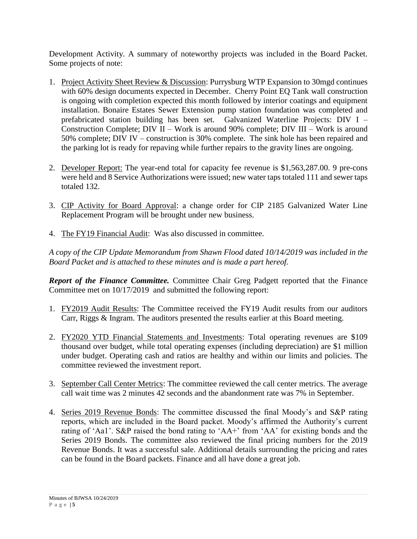Development Activity. A summary of noteworthy projects was included in the Board Packet. Some projects of note:

- 1. Project Activity Sheet Review & Discussion: Purrysburg WTP Expansion to 30mgd continues with 60% design documents expected in December. Cherry Point EQ Tank wall construction is ongoing with completion expected this month followed by interior coatings and equipment installation. Bonaire Estates Sewer Extension pump station foundation was completed and prefabricated station building has been set. Galvanized Waterline Projects: DIV I – Construction Complete; DIV II – Work is around 90% complete; DIV III – Work is around 50% complete; DIV IV – construction is 30% complete. The sink hole has been repaired and the parking lot is ready for repaving while further repairs to the gravity lines are ongoing.
- 2. Developer Report: The year-end total for capacity fee revenue is \$1,563,287.00. 9 pre-cons were held and 8 Service Authorizations were issued; new water taps totaled 111 and sewer taps totaled 132.
- 3. CIP Activity for Board Approval: a change order for CIP 2185 Galvanized Water Line Replacement Program will be brought under new business.
- 4. The FY19 Financial Audit: Was also discussed in committee.

*A copy of the CIP Update Memorandum from Shawn Flood dated 10/14/2019 was included in the Board Packet and is attached to these minutes and is made a part hereof.*

*Report of the Finance Committee.* Committee Chair Greg Padgett reported that the Finance Committee met on 10/17/2019 and submitted the following report:

- 1. FY2019 Audit Results: The Committee received the FY19 Audit results from our auditors Carr, Riggs & Ingram. The auditors presented the results earlier at this Board meeting.
- 2. FY2020 YTD Financial Statements and Investments: Total operating revenues are \$109 thousand over budget, while total operating expenses (including depreciation) are \$1 million under budget. Operating cash and ratios are healthy and within our limits and policies. The committee reviewed the investment report.
- 3. September Call Center Metrics: The committee reviewed the call center metrics. The average call wait time was 2 minutes 42 seconds and the abandonment rate was 7% in September.
- 4. Series 2019 Revenue Bonds: The committee discussed the final Moody's and S&P rating reports, which are included in the Board packet. Moody's affirmed the Authority's current rating of 'Aa1'. S&P raised the bond rating to 'AA+' from 'AA' for existing bonds and the Series 2019 Bonds. The committee also reviewed the final pricing numbers for the 2019 Revenue Bonds. It was a successful sale. Additional details surrounding the pricing and rates can be found in the Board packets. Finance and all have done a great job.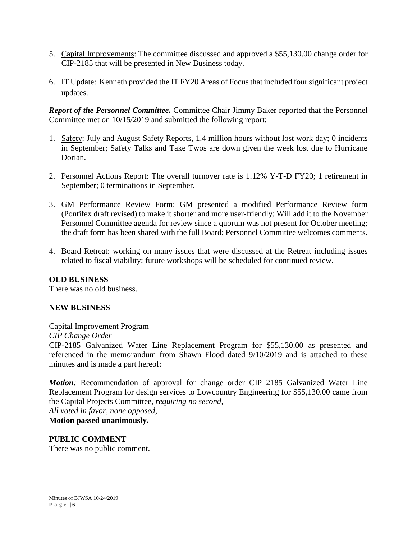- 5. Capital Improvements: The committee discussed and approved a \$55,130.00 change order for CIP-2185 that will be presented in New Business today.
- 6. IT Update: Kenneth provided the IT FY20 Areas of Focus that included four significant project updates.

*Report of the Personnel Committee.* Committee Chair Jimmy Baker reported that the Personnel Committee met on 10/15/2019 and submitted the following report:

- 1. Safety: July and August Safety Reports, 1.4 million hours without lost work day; 0 incidents in September; Safety Talks and Take Twos are down given the week lost due to Hurricane Dorian.
- 2. Personnel Actions Report: The overall turnover rate is 1.12% Y-T-D FY20; 1 retirement in September; 0 terminations in September.
- 3. GM Performance Review Form: GM presented a modified Performance Review form (Pontifex draft revised) to make it shorter and more user-friendly; Will add it to the November Personnel Committee agenda for review since a quorum was not present for October meeting; the draft form has been shared with the full Board; Personnel Committee welcomes comments.
- 4. Board Retreat: working on many issues that were discussed at the Retreat including issues related to fiscal viability; future workshops will be scheduled for continued review.

## **OLD BUSINESS**

There was no old business.

### **NEW BUSINESS**

#### Capital Improvement Program

*CIP Change Order*

CIP-2185 Galvanized Water Line Replacement Program for \$55,130.00 as presented and referenced in the memorandum from Shawn Flood dated 9/10/2019 and is attached to these minutes and is made a part hereof:

*Motion:* Recommendation of approval for change order CIP 2185 Galvanized Water Line Replacement Program for design services to Lowcountry Engineering for \$55,130.00 came from the Capital Projects Committee, *requiring no second*, *All voted in favor, none opposed,* 

**Motion passed unanimously.**

### **PUBLIC COMMENT** There was no public comment.